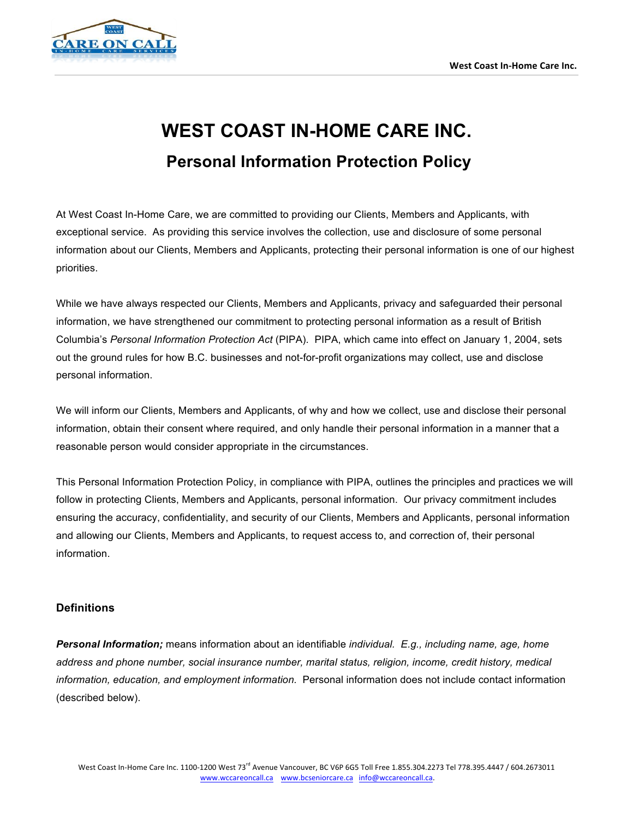

# **WEST COAST IN-HOME CARE INC. Personal Information Protection Policy**

At West Coast In-Home Care, we are committed to providing our Clients, Members and Applicants, with exceptional service. As providing this service involves the collection, use and disclosure of some personal information about our Clients, Members and Applicants, protecting their personal information is one of our highest priorities.

While we have always respected our Clients, Members and Applicants, privacy and safeguarded their personal information, we have strengthened our commitment to protecting personal information as a result of British Columbia's *Personal Information Protection Act* (PIPA). PIPA, which came into effect on January 1, 2004, sets out the ground rules for how B.C. businesses and not-for-profit organizations may collect, use and disclose personal information.

We will inform our Clients, Members and Applicants, of why and how we collect, use and disclose their personal information, obtain their consent where required, and only handle their personal information in a manner that a reasonable person would consider appropriate in the circumstances.

This Personal Information Protection Policy, in compliance with PIPA, outlines the principles and practices we will follow in protecting Clients, Members and Applicants, personal information. Our privacy commitment includes ensuring the accuracy, confidentiality, and security of our Clients, Members and Applicants, personal information and allowing our Clients, Members and Applicants, to request access to, and correction of, their personal information.

#### **Definitions**

*Personal Information;* means information about an identifiable *individual. E.g., including name, age, home address and phone number, social insurance number, marital status, religion, income, credit history, medical information, education, and employment information.* Personal information does not include contact information (described below).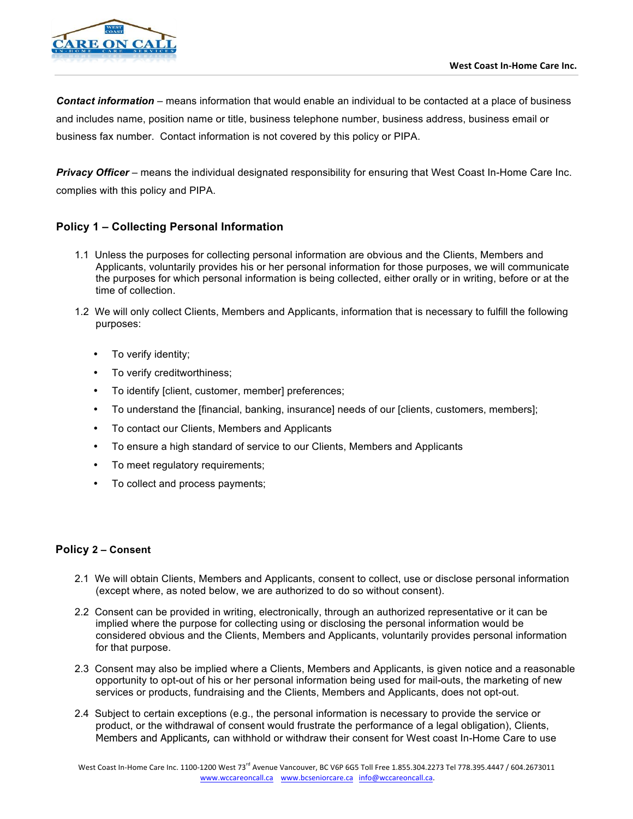

*Contact information* – means information that would enable an individual to be contacted at a place of business and includes name, position name or title, business telephone number, business address, business email or business fax number. Contact information is not covered by this policy or PIPA.

*Privacy Officer* – means the individual designated responsibility for ensuring that West Coast In-Home Care Inc. complies with this policy and PIPA.

# **Policy 1 – Collecting Personal Information**

- 1.1 Unless the purposes for collecting personal information are obvious and the Clients, Members and Applicants, voluntarily provides his or her personal information for those purposes, we will communicate the purposes for which personal information is being collected, either orally or in writing, before or at the time of collection.
- 1.2 We will only collect Clients, Members and Applicants, information that is necessary to fulfill the following purposes:
	- To verify identity;
	- To verify creditworthiness;
	- To identify [client, customer, member] preferences;
	- To understand the [financial, banking, insurance] needs of our [clients, customers, members];
	- To contact our Clients, Members and Applicants
	- To ensure a high standard of service to our Clients, Members and Applicants
	- To meet regulatory requirements;
	- To collect and process payments;

#### **Policy 2 – Consent**

- 2.1 We will obtain Clients, Members and Applicants, consent to collect, use or disclose personal information (except where, as noted below, we are authorized to do so without consent).
- 2.2 Consent can be provided in writing, electronically, through an authorized representative or it can be implied where the purpose for collecting using or disclosing the personal information would be considered obvious and the Clients, Members and Applicants, voluntarily provides personal information for that purpose.
- 2.3 Consent may also be implied where a Clients, Members and Applicants, is given notice and a reasonable opportunity to opt-out of his or her personal information being used for mail-outs, the marketing of new services or products, fundraising and the Clients, Members and Applicants, does not opt-out.
- 2.4 Subject to certain exceptions (e.g., the personal information is necessary to provide the service or product, or the withdrawal of consent would frustrate the performance of a legal obligation), Clients, Members and Applicants, can withhold or withdraw their consent for West coast In-Home Care to use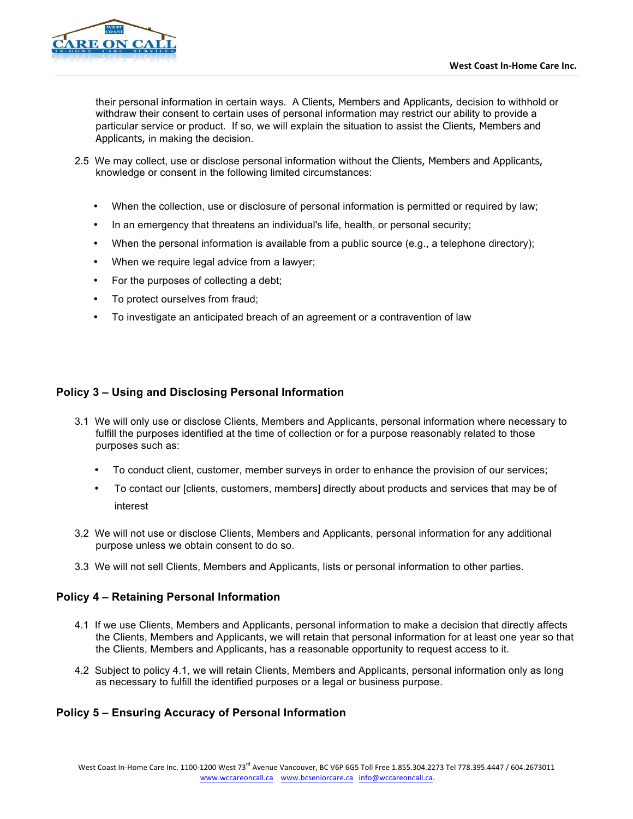

their personal information in certain ways. A Clients, Members and Applicants, decision to withhold or withdraw their consent to certain uses of personal information may restrict our ability to provide a particular service or product. If so, we will explain the situation to assist the Clients, Members and Applicants, in making the decision.

- 2.5 We may collect, use or disclose personal information without the Clients, Members and Applicants, knowledge or consent in the following limited circumstances:
	- When the collection, use or disclosure of personal information is permitted or required by law;
	- In an emergency that threatens an individual's life, health, or personal security;
	- When the personal information is available from a public source (e.g., a telephone directory);
	- When we require legal advice from a lawyer;
	- For the purposes of collecting a debt;
	- To protect ourselves from fraud;
	- To investigate an anticipated breach of an agreement or a contravention of law

## **Policy 3 – Using and Disclosing Personal Information**

- 3.1 We will only use or disclose Clients, Members and Applicants, personal information where necessary to fulfill the purposes identified at the time of collection or for a purpose reasonably related to those purposes such as:
	- To conduct client, customer, member surveys in order to enhance the provision of our services;
	- To contact our [clients, customers, members] directly about products and services that may be of interest
- 3.2 We will not use or disclose Clients, Members and Applicants, personal information for any additional purpose unless we obtain consent to do so.
- 3.3 We will not sell Clients, Members and Applicants, lists or personal information to other parties.

#### **Policy 4 – Retaining Personal Information**

- 4.1 If we use Clients, Members and Applicants, personal information to make a decision that directly affects the Clients, Members and Applicants, we will retain that personal information for at least one year so that the Clients, Members and Applicants, has a reasonable opportunity to request access to it.
- 4.2 Subject to policy 4.1, we will retain Clients, Members and Applicants, personal information only as long as necessary to fulfill the identified purposes or a legal or business purpose.

#### **Policy 5 – Ensuring Accuracy of Personal Information**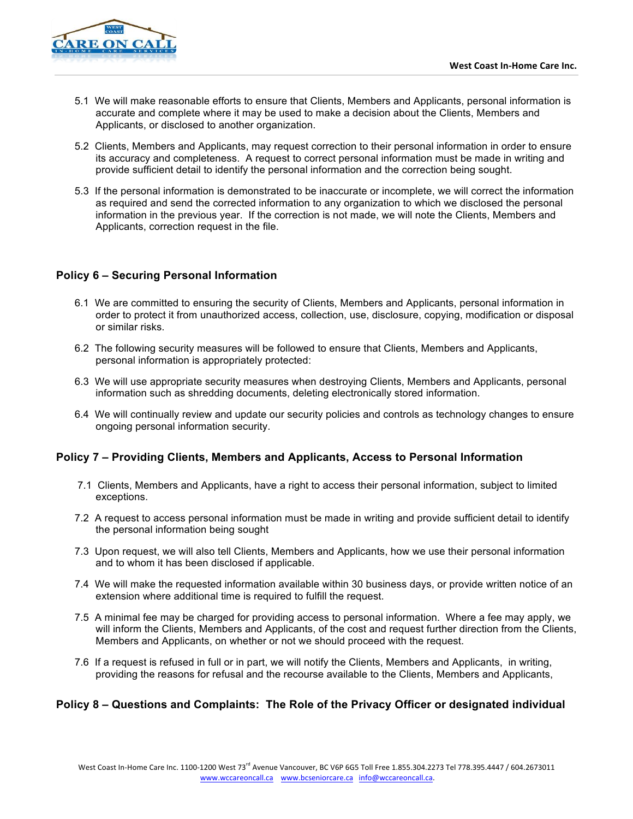

- 5.1 We will make reasonable efforts to ensure that Clients, Members and Applicants, personal information is accurate and complete where it may be used to make a decision about the Clients, Members and Applicants, or disclosed to another organization.
- 5.2 Clients, Members and Applicants, may request correction to their personal information in order to ensure its accuracy and completeness. A request to correct personal information must be made in writing and provide sufficient detail to identify the personal information and the correction being sought.
- 5.3 If the personal information is demonstrated to be inaccurate or incomplete, we will correct the information as required and send the corrected information to any organization to which we disclosed the personal information in the previous year. If the correction is not made, we will note the Clients, Members and Applicants, correction request in the file.

## **Policy 6 – Securing Personal Information**

- 6.1 We are committed to ensuring the security of Clients, Members and Applicants, personal information in order to protect it from unauthorized access, collection, use, disclosure, copying, modification or disposal or similar risks.
- 6.2 The following security measures will be followed to ensure that Clients, Members and Applicants, personal information is appropriately protected:
- 6.3 We will use appropriate security measures when destroying Clients, Members and Applicants, personal information such as shredding documents, deleting electronically stored information.
- 6.4 We will continually review and update our security policies and controls as technology changes to ensure ongoing personal information security.

#### **Policy 7 – Providing Clients, Members and Applicants, Access to Personal Information**

- 7.1 Clients, Members and Applicants, have a right to access their personal information, subject to limited exceptions.
- 7.2 A request to access personal information must be made in writing and provide sufficient detail to identify the personal information being sought
- 7.3 Upon request, we will also tell Clients, Members and Applicants, how we use their personal information and to whom it has been disclosed if applicable.
- 7.4 We will make the requested information available within 30 business days, or provide written notice of an extension where additional time is required to fulfill the request.
- 7.5 A minimal fee may be charged for providing access to personal information. Where a fee may apply, we will inform the Clients, Members and Applicants, of the cost and request further direction from the Clients, Members and Applicants, on whether or not we should proceed with the request.
- 7.6 If a request is refused in full or in part, we will notify the Clients, Members and Applicants, in writing, providing the reasons for refusal and the recourse available to the Clients, Members and Applicants,

#### **Policy 8 – Questions and Complaints: The Role of the Privacy Officer or designated individual**